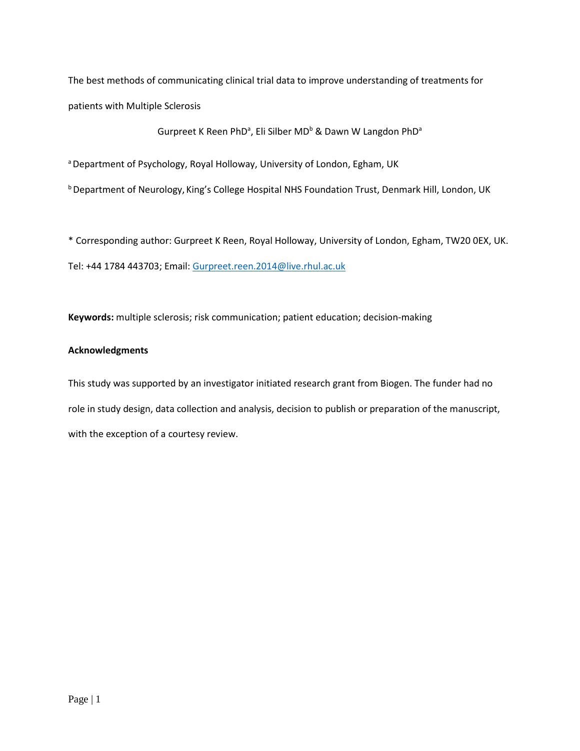The best methods of communicating clinical trial data to improve understanding of treatments for patients with Multiple Sclerosis

Gurpreet K Reen PhD<sup>a</sup>, Eli Silber MD<sup>b</sup> & Dawn W Langdon PhD<sup>a</sup>

a Department of Psychology, Royal Holloway, University of London, Egham, UK

b Department of Neurology, King's College Hospital NHS Foundation Trust, Denmark Hill, London, UK

\* Corresponding author: Gurpreet K Reen, Royal Holloway, University of London, Egham, TW20 0EX, UK. Tel: +44 1784 443703; Email: [Gurpreet.reen.2014@live.rhul.ac.uk](mailto:Gurpreet.reen.2014@live.rhul.ac.uk)

**Keywords:** multiple sclerosis; risk communication; patient education; decision-making

# **Acknowledgments**

This study was supported by an investigator initiated research grant from Biogen. The funder had no role in study design, data collection and analysis, decision to publish or preparation of the manuscript, with the exception of a courtesy review.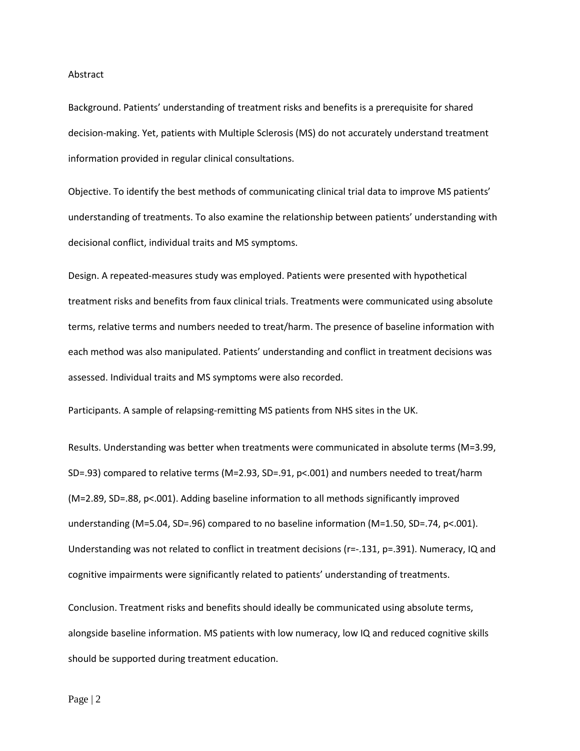#### Abstract

Background. Patients' understanding of treatment risks and benefits is a prerequisite for shared decision-making. Yet, patients with Multiple Sclerosis (MS) do not accurately understand treatment information provided in regular clinical consultations.

Objective. To identify the best methods of communicating clinical trial data to improve MS patients' understanding of treatments. To also examine the relationship between patients' understanding with decisional conflict, individual traits and MS symptoms.

Design. A repeated-measures study was employed. Patients were presented with hypothetical treatment risks and benefits from faux clinical trials. Treatments were communicated using absolute terms, relative terms and numbers needed to treat/harm. The presence of baseline information with each method was also manipulated. Patients' understanding and conflict in treatment decisions was assessed. Individual traits and MS symptoms were also recorded.

Participants. A sample of relapsing-remitting MS patients from NHS sites in the UK.

Results. Understanding was better when treatments were communicated in absolute terms (M=3.99, SD=.93) compared to relative terms (M=2.93, SD=.91, p<.001) and numbers needed to treat/harm (M=2.89, SD=.88, p<.001). Adding baseline information to all methods significantly improved understanding (M=5.04, SD=.96) compared to no baseline information (M=1.50, SD=.74, p<.001). Understanding was not related to conflict in treatment decisions (r=-.131, p=.391). Numeracy, IQ and cognitive impairments were significantly related to patients' understanding of treatments.

Conclusion. Treatment risks and benefits should ideally be communicated using absolute terms, alongside baseline information. MS patients with low numeracy, low IQ and reduced cognitive skills should be supported during treatment education.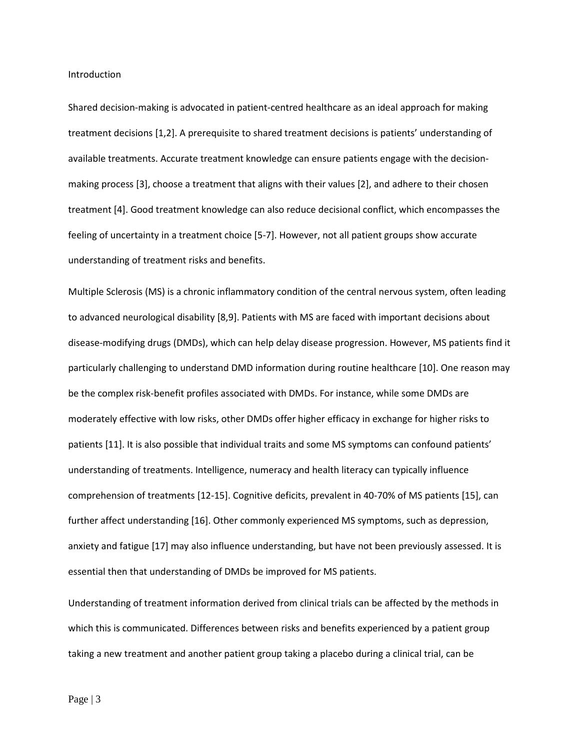Introduction

Shared decision-making is advocated in patient-centred healthcare as an ideal approach for making treatment decisions [1,2]. A prerequisite to shared treatment decisions is patients' understanding of available treatments. Accurate treatment knowledge can ensure patients engage with the decisionmaking process [3], choose a treatment that aligns with their values [2], and adhere to their chosen treatment [4]. Good treatment knowledge can also reduce decisional conflict, which encompasses the feeling of uncertainty in a treatment choice [5-7]. However, not all patient groups show accurate understanding of treatment risks and benefits.

Multiple Sclerosis (MS) is a chronic inflammatory condition of the central nervous system, often leading to advanced neurological disability [8,9]. Patients with MS are faced with important decisions about disease-modifying drugs (DMDs), which can help delay disease progression. However, MS patients find it particularly challenging to understand DMD information during routine healthcare [10]. One reason may be the complex risk-benefit profiles associated with DMDs. For instance, while some DMDs are moderately effective with low risks, other DMDs offer higher efficacy in exchange for higher risks to patients [11]. It is also possible that individual traits and some MS symptoms can confound patients' understanding of treatments. Intelligence, numeracy and health literacy can typically influence comprehension of treatments [12-15]. Cognitive deficits, prevalent in 40-70% of MS patients [15], can further affect understanding [16]. Other commonly experienced MS symptoms, such as depression, anxiety and fatigue [17] may also influence understanding, but have not been previously assessed. It is essential then that understanding of DMDs be improved for MS patients.

Understanding of treatment information derived from clinical trials can be affected by the methods in which this is communicated. Differences between risks and benefits experienced by a patient group taking a new treatment and another patient group taking a placebo during a clinical trial, can be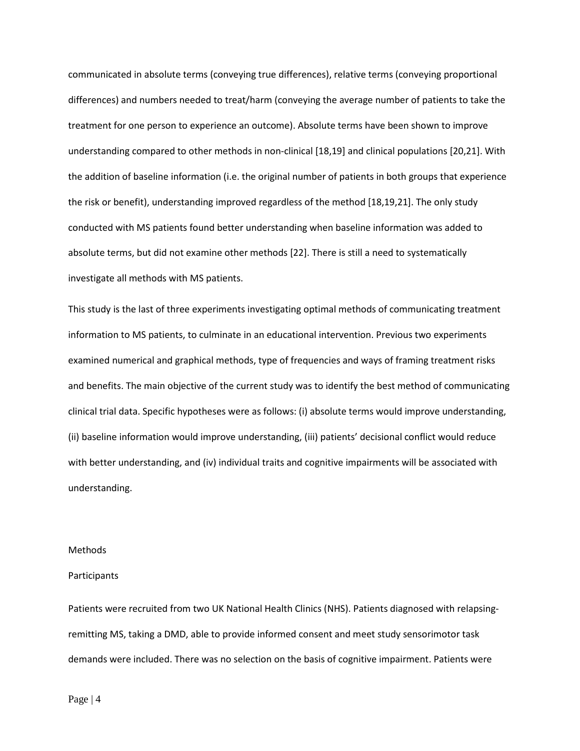communicated in absolute terms (conveying true differences), relative terms (conveying proportional differences) and numbers needed to treat/harm (conveying the average number of patients to take the treatment for one person to experience an outcome). Absolute terms have been shown to improve understanding compared to other methods in non-clinical [18,19] and clinical populations [20,21]. With the addition of baseline information (i.e. the original number of patients in both groups that experience the risk or benefit), understanding improved regardless of the method [18,19,21]. The only study conducted with MS patients found better understanding when baseline information was added to absolute terms, but did not examine other methods [22]. There is still a need to systematically investigate all methods with MS patients.

This study is the last of three experiments investigating optimal methods of communicating treatment information to MS patients, to culminate in an educational intervention. Previous two experiments examined numerical and graphical methods, type of frequencies and ways of framing treatment risks and benefits. The main objective of the current study was to identify the best method of communicating clinical trial data. Specific hypotheses were as follows: (i) absolute terms would improve understanding, (ii) baseline information would improve understanding, (iii) patients' decisional conflict would reduce with better understanding, and (iv) individual traits and cognitive impairments will be associated with understanding.

### Methods

#### Participants

Patients were recruited from two UK National Health Clinics (NHS). Patients diagnosed with relapsingremitting MS, taking a DMD, able to provide informed consent and meet study sensorimotor task demands were included. There was no selection on the basis of cognitive impairment. Patients were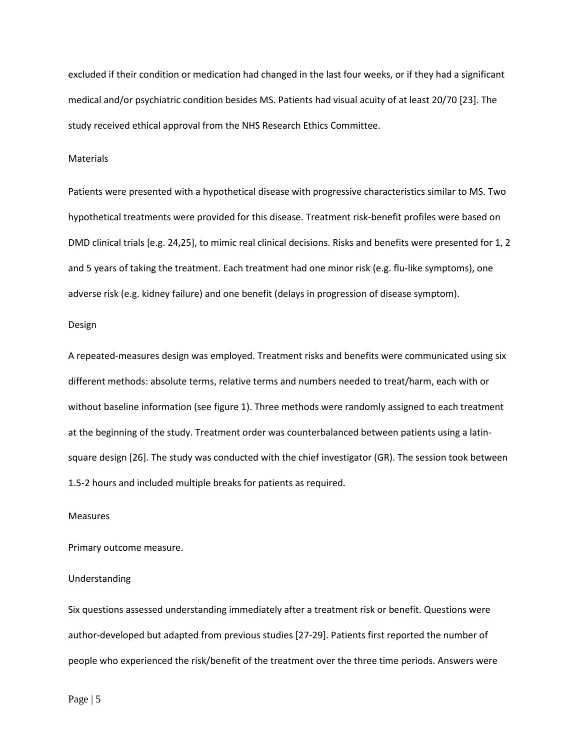excluded if their condition or medication had changed in the last four weeks, or if they had a significant medical and/or psychiatric condition besides MS. Patients had visual acuity of at least 20/70 [23]. The study received ethical approval from the NHS Research Ethics Committee.

## Materials

Patients were presented with a hypothetical disease with progressive characteristics similar to MS. Two hypothetical treatments were provided for this disease. Treatment risk-benefit profiles were based on DMD clinical trials [e.g. 24,25], to mimic real clinical decisions. Risks and benefits were presented for 1, 2 and 5 years of taking the treatment. Each treatment had one minor risk (e.g. flu-like symptoms), one adverse risk (e.g. kidney failure) and one benefit (delays in progression of disease symptom).

### Design

A repeated-measures design was employed. Treatment risks and benefits were communicated using six different methods: absolute terms, relative terms and numbers needed to treat/harm, each with or without baseline information (see figure 1). Three methods were randomly assigned to each treatment at the beginning of the study. Treatment order was counterbalanced between patients using a latinsquare design [26]. The study was conducted with the chief investigator (GR). The session took between 1.5-2 hours and included multiple breaks for patients as required.

#### Measures

Primary outcome measure.

#### Understanding

Six questions assessed understanding immediately after a treatment risk or benefit. Questions were author-developed but adapted from previous studies [27-29]. Patients first reported the number of people who experienced the risk/benefit of the treatment over the three time periods. Answers were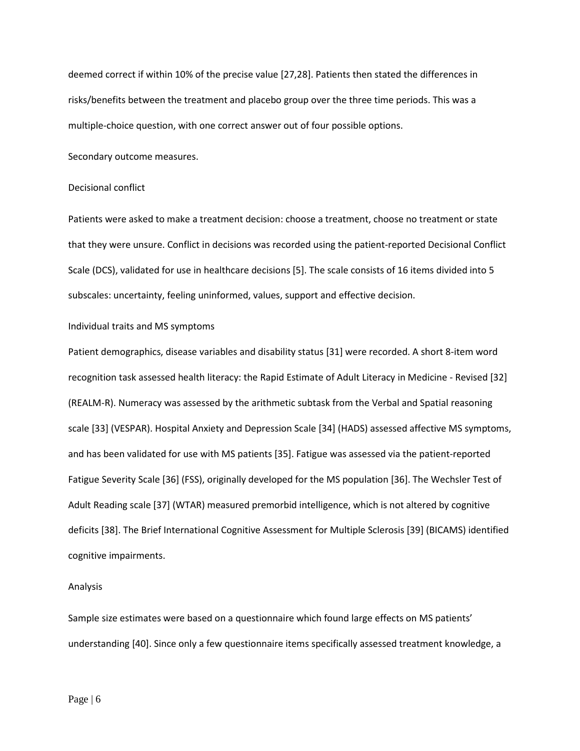deemed correct if within 10% of the precise value [27,28]. Patients then stated the differences in risks/benefits between the treatment and placebo group over the three time periods. This was a multiple-choice question, with one correct answer out of four possible options.

Secondary outcome measures.

#### Decisional conflict

Patients were asked to make a treatment decision: choose a treatment, choose no treatment or state that they were unsure. Conflict in decisions was recorded using the patient-reported Decisional Conflict Scale (DCS), validated for use in healthcare decisions [5]. The scale consists of 16 items divided into 5 subscales: uncertainty, feeling uninformed, values, support and effective decision.

## Individual traits and MS symptoms

Patient demographics, disease variables and disability status [31] were recorded. A short 8-item word recognition task assessed health literacy: the Rapid Estimate of Adult Literacy in Medicine - Revised [32] (REALM-R). Numeracy was assessed by the arithmetic subtask from the Verbal and Spatial reasoning scale [33] (VESPAR). Hospital Anxiety and Depression Scale [34] (HADS) assessed affective MS symptoms, and has been validated for use with MS patients [35]. Fatigue was assessed via the patient-reported Fatigue Severity Scale [36] (FSS), originally developed for the MS population [36]. The Wechsler Test of Adult Reading scale [37] (WTAR) measured premorbid intelligence, which is not altered by cognitive deficits [38]. The Brief International Cognitive Assessment for Multiple Sclerosis [39] (BICAMS) identified cognitive impairments.

#### Analysis

Sample size estimates were based on a questionnaire which found large effects on MS patients' understanding [40]. Since only a few questionnaire items specifically assessed treatment knowledge, a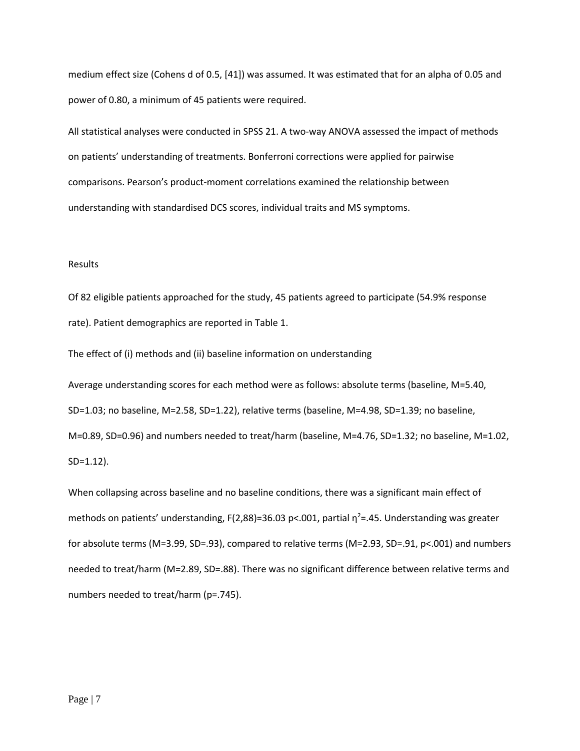medium effect size (Cohens d of 0.5, [41]) was assumed. It was estimated that for an alpha of 0.05 and power of 0.80, a minimum of 45 patients were required.

All statistical analyses were conducted in SPSS 21. A two-way ANOVA assessed the impact of methods on patients' understanding of treatments. Bonferroni corrections were applied for pairwise comparisons. Pearson's product-moment correlations examined the relationship between understanding with standardised DCS scores, individual traits and MS symptoms.

## Results

Of 82 eligible patients approached for the study, 45 patients agreed to participate (54.9% response rate). Patient demographics are reported in Table 1.

The effect of (i) methods and (ii) baseline information on understanding

Average understanding scores for each method were as follows: absolute terms (baseline, M=5.40, SD=1.03; no baseline, M=2.58, SD=1.22), relative terms (baseline, M=4.98, SD=1.39; no baseline, M=0.89, SD=0.96) and numbers needed to treat/harm (baseline, M=4.76, SD=1.32; no baseline, M=1.02, SD=1.12).

When collapsing across baseline and no baseline conditions, there was a significant main effect of methods on patients' understanding, F(2,88)=36.03 p<.001, partial  $\eta^2$ =.45. Understanding was greater for absolute terms (M=3.99, SD=.93), compared to relative terms (M=2.93, SD=.91, p<.001) and numbers needed to treat/harm (M=2.89, SD=.88). There was no significant difference between relative terms and numbers needed to treat/harm (p=.745).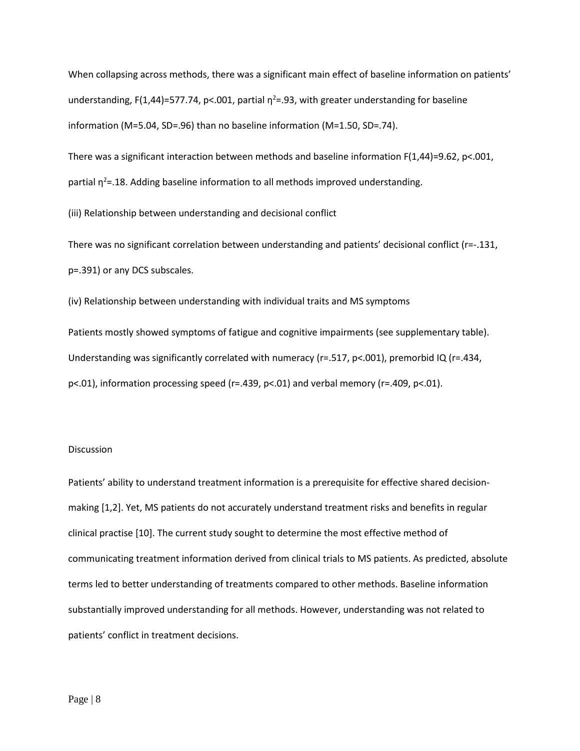When collapsing across methods, there was a significant main effect of baseline information on patients' understanding, F(1,44)=577.74, p<.001, partial  $\eta^2$ =.93, with greater understanding for baseline information (M=5.04, SD=.96) than no baseline information (M=1.50, SD=.74).

There was a significant interaction between methods and baseline information  $F(1,44)=9.62$ , p<.001,

partial  $\eta^2$ =.18. Adding baseline information to all methods improved understanding.

(iii) Relationship between understanding and decisional conflict

There was no significant correlation between understanding and patients' decisional conflict (r=-.131, p=.391) or any DCS subscales.

(iv) Relationship between understanding with individual traits and MS symptoms

Patients mostly showed symptoms of fatigue and cognitive impairments (see supplementary table). Understanding was significantly correlated with numeracy (r=.517, p<.001), premorbid IQ (r=.434, p<.01), information processing speed (r=.439, p<.01) and verbal memory (r=.409, p<.01).

## **Discussion**

Patients' ability to understand treatment information is a prerequisite for effective shared decisionmaking [1,2]. Yet, MS patients do not accurately understand treatment risks and benefits in regular clinical practise [10]. The current study sought to determine the most effective method of communicating treatment information derived from clinical trials to MS patients. As predicted, absolute terms led to better understanding of treatments compared to other methods. Baseline information substantially improved understanding for all methods. However, understanding was not related to patients' conflict in treatment decisions.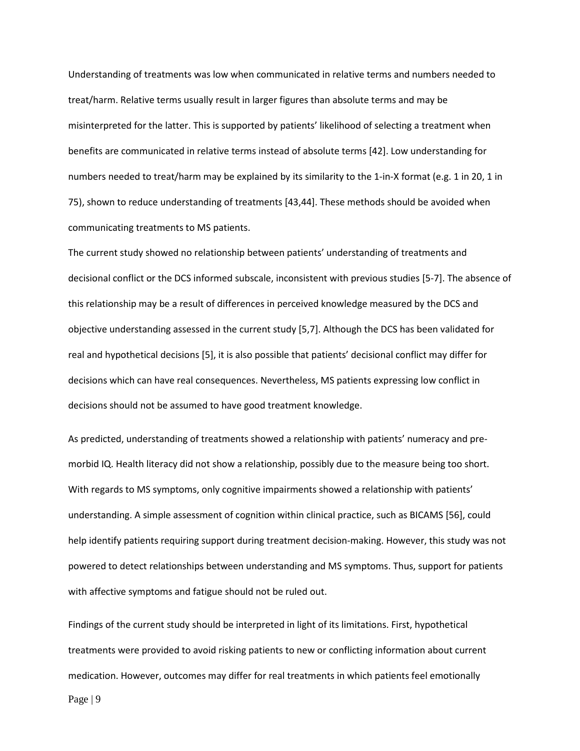Understanding of treatments was low when communicated in relative terms and numbers needed to treat/harm. Relative terms usually result in larger figures than absolute terms and may be misinterpreted for the latter. This is supported by patients' likelihood of selecting a treatment when benefits are communicated in relative terms instead of absolute terms [42]. Low understanding for numbers needed to treat/harm may be explained by its similarity to the 1-in-X format (e.g. 1 in 20, 1 in 75), shown to reduce understanding of treatments [43,44]. These methods should be avoided when communicating treatments to MS patients.

The current study showed no relationship between patients' understanding of treatments and decisional conflict or the DCS informed subscale, inconsistent with previous studies [5-7]. The absence of this relationship may be a result of differences in perceived knowledge measured by the DCS and objective understanding assessed in the current study [5,7]. Although the DCS has been validated for real and hypothetical decisions [5], it is also possible that patients' decisional conflict may differ for decisions which can have real consequences. Nevertheless, MS patients expressing low conflict in decisions should not be assumed to have good treatment knowledge.

As predicted, understanding of treatments showed a relationship with patients' numeracy and premorbid IQ. Health literacy did not show a relationship, possibly due to the measure being too short. With regards to MS symptoms, only cognitive impairments showed a relationship with patients' understanding. A simple assessment of cognition within clinical practice, such as BICAMS [56], could help identify patients requiring support during treatment decision-making. However, this study was not powered to detect relationships between understanding and MS symptoms. Thus, support for patients with affective symptoms and fatigue should not be ruled out.

Findings of the current study should be interpreted in light of its limitations. First, hypothetical treatments were provided to avoid risking patients to new or conflicting information about current medication. However, outcomes may differ for real treatments in which patients feel emotionally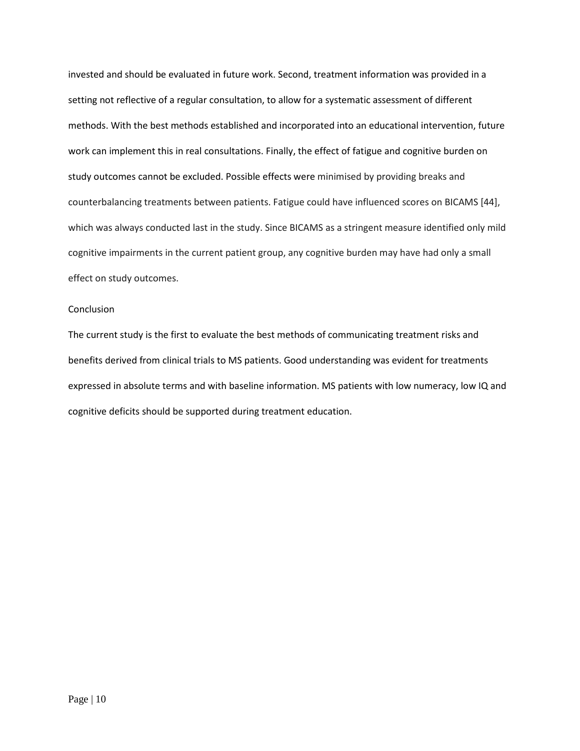invested and should be evaluated in future work. Second, treatment information was provided in a setting not reflective of a regular consultation, to allow for a systematic assessment of different methods. With the best methods established and incorporated into an educational intervention, future work can implement this in real consultations. Finally, the effect of fatigue and cognitive burden on study outcomes cannot be excluded. Possible effects were minimised by providing breaks and counterbalancing treatments between patients. Fatigue could have influenced scores on BICAMS [44], which was always conducted last in the study. Since BICAMS as a stringent measure identified only mild cognitive impairments in the current patient group, any cognitive burden may have had only a small effect on study outcomes.

## **Conclusion**

The current study is the first to evaluate the best methods of communicating treatment risks and benefits derived from clinical trials to MS patients. Good understanding was evident for treatments expressed in absolute terms and with baseline information. MS patients with low numeracy, low IQ and cognitive deficits should be supported during treatment education.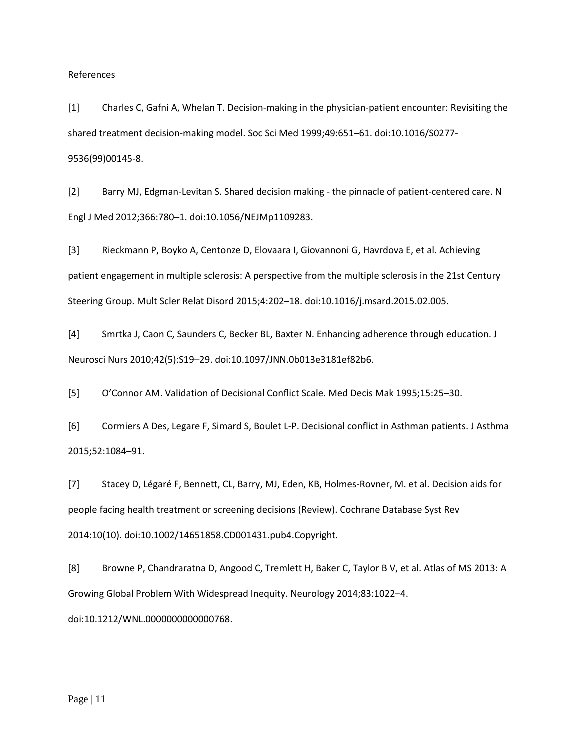References

[1] Charles C, Gafni A, Whelan T. Decision-making in the physician-patient encounter: Revisiting the shared treatment decision-making model. Soc Sci Med 1999;49:651–61. doi:10.1016/S0277- 9536(99)00145-8.

[2] Barry MJ, Edgman-Levitan S. Shared decision making - the pinnacle of patient-centered care. N Engl J Med 2012;366:780–1. doi:10.1056/NEJMp1109283.

[3] Rieckmann P, Boyko A, Centonze D, Elovaara I, Giovannoni G, Havrdova E, et al. Achieving patient engagement in multiple sclerosis: A perspective from the multiple sclerosis in the 21st Century Steering Group. Mult Scler Relat Disord 2015;4:202–18. doi:10.1016/j.msard.2015.02.005.

[4] Smrtka J, Caon C, Saunders C, Becker BL, Baxter N. Enhancing adherence through education. J Neurosci Nurs 2010;42(5):S19–29. doi:10.1097/JNN.0b013e3181ef82b6.

[5] O'Connor AM. Validation of Decisional Conflict Scale. Med Decis Mak 1995;15:25–30.

[6] Cormiers A Des, Legare F, Simard S, Boulet L-P. Decisional conflict in Asthman patients. J Asthma 2015;52:1084–91.

[7] Stacey D, Légaré F, Bennett, CL, Barry, MJ, Eden, KB, Holmes-Rovner, M. et al. Decision aids for people facing health treatment or screening decisions (Review). Cochrane Database Syst Rev 2014:10(10). doi:10.1002/14651858.CD001431.pub4.Copyright.

[8] Browne P, Chandraratna D, Angood C, Tremlett H, Baker C, Taylor B V, et al. Atlas of MS 2013: A Growing Global Problem With Widespread Inequity. Neurology 2014;83:1022–4. doi:10.1212/WNL.0000000000000768.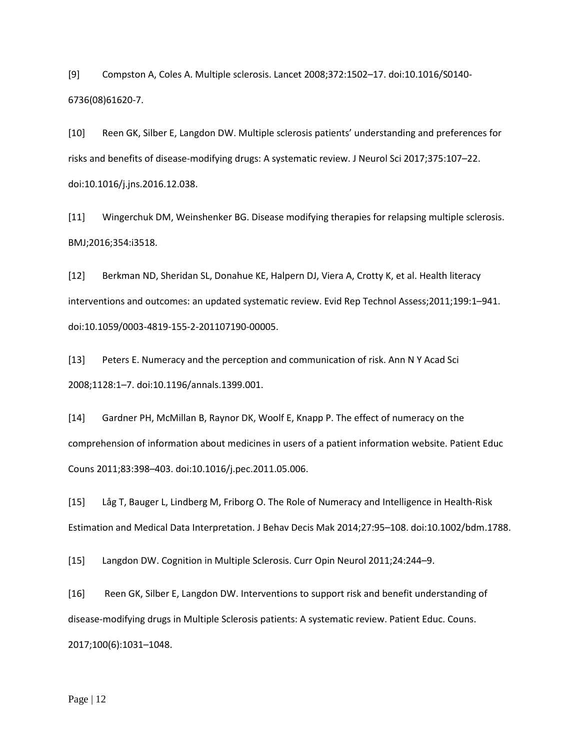[9] Compston A, Coles A. Multiple sclerosis. Lancet 2008;372:1502–17. doi:10.1016/S0140- 6736(08)61620-7.

[10] Reen GK, Silber E, Langdon DW. Multiple sclerosis patients' understanding and preferences for risks and benefits of disease-modifying drugs: A systematic review. J Neurol Sci 2017;375:107–22. doi:10.1016/j.jns.2016.12.038.

[11] Wingerchuk DM, Weinshenker BG. Disease modifying therapies for relapsing multiple sclerosis. BMJ;2016;354:i3518.

[12] Berkman ND, Sheridan SL, Donahue KE, Halpern DJ, Viera A, Crotty K, et al. Health literacy interventions and outcomes: an updated systematic review. Evid Rep Technol Assess;2011;199:1–941. doi:10.1059/0003-4819-155-2-201107190-00005.

[13] Peters E. Numeracy and the perception and communication of risk. Ann N Y Acad Sci 2008;1128:1–7. doi:10.1196/annals.1399.001.

[14] Gardner PH, McMillan B, Raynor DK, Woolf E, Knapp P. The effect of numeracy on the comprehension of information about medicines in users of a patient information website. Patient Educ Couns 2011;83:398–403. doi:10.1016/j.pec.2011.05.006.

[15] Låg T, Bauger L, Lindberg M, Friborg O. The Role of Numeracy and Intelligence in Health-Risk Estimation and Medical Data Interpretation. J Behav Decis Mak 2014;27:95–108. doi:10.1002/bdm.1788.

[15] Langdon DW. Cognition in Multiple Sclerosis. Curr Opin Neurol 2011;24:244–9.

[16] Reen GK, Silber E, Langdon DW. Interventions to support risk and benefit understanding of disease-modifying drugs in Multiple Sclerosis patients: A systematic review. Patient Educ. Couns. 2017;100(6):1031–1048.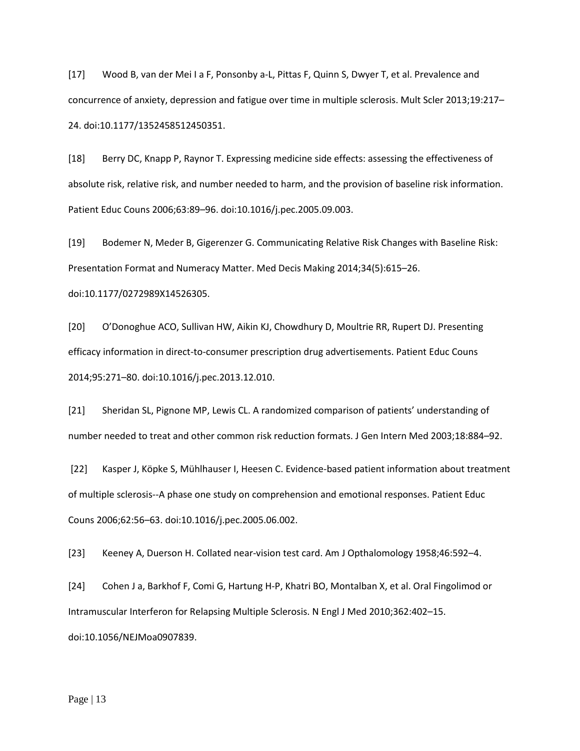[17] Wood B, van der Mei I a F, Ponsonby a-L, Pittas F, Quinn S, Dwyer T, et al. Prevalence and concurrence of anxiety, depression and fatigue over time in multiple sclerosis. Mult Scler 2013;19:217– 24. doi:10.1177/1352458512450351.

[18] Berry DC, Knapp P, Raynor T. Expressing medicine side effects: assessing the effectiveness of absolute risk, relative risk, and number needed to harm, and the provision of baseline risk information. Patient Educ Couns 2006;63:89–96. doi:10.1016/j.pec.2005.09.003.

[19] Bodemer N, Meder B, Gigerenzer G. Communicating Relative Risk Changes with Baseline Risk: Presentation Format and Numeracy Matter. Med Decis Making 2014;34(5):615–26. doi:10.1177/0272989X14526305.

[20] O'Donoghue ACO, Sullivan HW, Aikin KJ, Chowdhury D, Moultrie RR, Rupert DJ. Presenting efficacy information in direct-to-consumer prescription drug advertisements. Patient Educ Couns 2014;95:271–80. doi:10.1016/j.pec.2013.12.010.

[21] Sheridan SL, Pignone MP, Lewis CL. A randomized comparison of patients' understanding of number needed to treat and other common risk reduction formats. J Gen Intern Med 2003;18:884–92.

[22] Kasper J, Köpke S, Mühlhauser I, Heesen C. Evidence-based patient information about treatment of multiple sclerosis--A phase one study on comprehension and emotional responses. Patient Educ Couns 2006;62:56–63. doi:10.1016/j.pec.2005.06.002.

[23] Keeney A, Duerson H. Collated near-vision test card. Am J Opthalomology 1958;46:592–4.

[24] Cohen J a, Barkhof F, Comi G, Hartung H-P, Khatri BO, Montalban X, et al. Oral Fingolimod or Intramuscular Interferon for Relapsing Multiple Sclerosis. N Engl J Med 2010;362:402–15. doi:10.1056/NEJMoa0907839.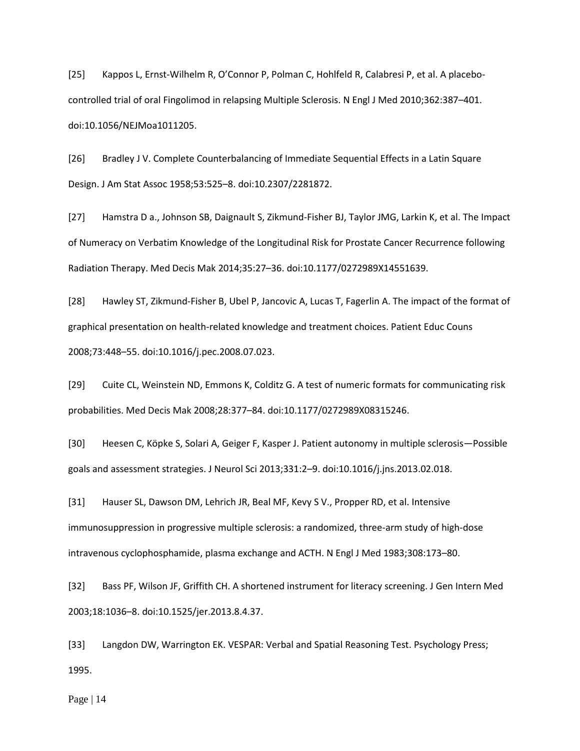[25] Kappos L, Ernst-Wilhelm R, O'Connor P, Polman C, Hohlfeld R, Calabresi P, et al. A placebocontrolled trial of oral Fingolimod in relapsing Multiple Sclerosis. N Engl J Med 2010;362:387–401. doi:10.1056/NEJMoa1011205.

[26] Bradley J V. Complete Counterbalancing of Immediate Sequential Effects in a Latin Square Design. J Am Stat Assoc 1958;53:525–8. doi:10.2307/2281872.

[27] Hamstra D a., Johnson SB, Daignault S, Zikmund-Fisher BJ, Taylor JMG, Larkin K, et al. The Impact of Numeracy on Verbatim Knowledge of the Longitudinal Risk for Prostate Cancer Recurrence following Radiation Therapy. Med Decis Mak 2014;35:27–36. doi:10.1177/0272989X14551639.

[28] Hawley ST, Zikmund-Fisher B, Ubel P, Jancovic A, Lucas T, Fagerlin A. The impact of the format of graphical presentation on health-related knowledge and treatment choices. Patient Educ Couns 2008;73:448–55. doi:10.1016/j.pec.2008.07.023.

[29] Cuite CL, Weinstein ND, Emmons K, Colditz G. A test of numeric formats for communicating risk probabilities. Med Decis Mak 2008;28:377–84. doi:10.1177/0272989X08315246.

[30] Heesen C, Köpke S, Solari A, Geiger F, Kasper J. Patient autonomy in multiple sclerosis—Possible goals and assessment strategies. J Neurol Sci 2013;331:2–9. doi:10.1016/j.jns.2013.02.018.

[31] Hauser SL, Dawson DM, Lehrich JR, Beal MF, Kevy S V., Propper RD, et al. Intensive immunosuppression in progressive multiple sclerosis: a randomized, three-arm study of high-dose intravenous cyclophosphamide, plasma exchange and ACTH. N Engl J Med 1983;308:173–80.

[32] Bass PF, Wilson JF, Griffith CH. A shortened instrument for literacy screening. J Gen Intern Med 2003;18:1036–8. doi:10.1525/jer.2013.8.4.37.

[33] Langdon DW, Warrington EK. VESPAR: Verbal and Spatial Reasoning Test. Psychology Press; 1995.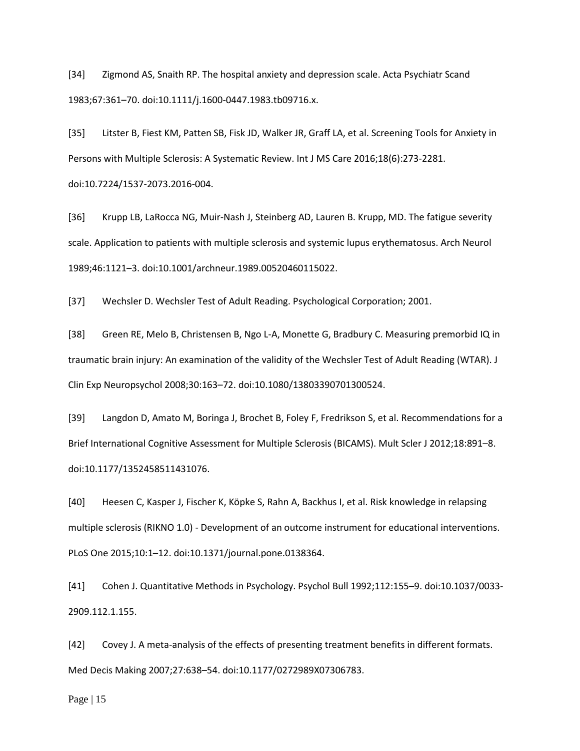[34] Zigmond AS, Snaith RP. The hospital anxiety and depression scale. Acta Psychiatr Scand 1983;67:361–70. doi:10.1111/j.1600-0447.1983.tb09716.x.

[35] Litster B, Fiest KM, Patten SB, Fisk JD, Walker JR, Graff LA, et al. Screening Tools for Anxiety in Persons with Multiple Sclerosis: A Systematic Review. Int J MS Care 2016;18(6):273-2281. doi:10.7224/1537-2073.2016-004.

[36] Krupp LB, LaRocca NG, Muir-Nash J, Steinberg AD, Lauren B. Krupp, MD. The fatigue severity scale. Application to patients with multiple sclerosis and systemic lupus erythematosus. Arch Neurol 1989;46:1121–3. doi:10.1001/archneur.1989.00520460115022.

[37] Wechsler D. Wechsler Test of Adult Reading. Psychological Corporation; 2001.

[38] Green RE, Melo B, Christensen B, Ngo L-A, Monette G, Bradbury C. Measuring premorbid IQ in traumatic brain injury: An examination of the validity of the Wechsler Test of Adult Reading (WTAR). J Clin Exp Neuropsychol 2008;30:163–72. doi:10.1080/13803390701300524.

[39] Langdon D, Amato M, Boringa J, Brochet B, Foley F, Fredrikson S, et al. Recommendations for a Brief International Cognitive Assessment for Multiple Sclerosis (BICAMS). Mult Scler J 2012;18:891–8. doi:10.1177/1352458511431076.

[40] Heesen C, Kasper J, Fischer K, Köpke S, Rahn A, Backhus I, et al. Risk knowledge in relapsing multiple sclerosis (RIKNO 1.0) - Development of an outcome instrument for educational interventions. PLoS One 2015;10:1–12. doi:10.1371/journal.pone.0138364.

[41] Cohen J. Quantitative Methods in Psychology. Psychol Bull 1992;112:155–9. doi:10.1037/0033- 2909.112.1.155.

[42] Covey J. A meta-analysis of the effects of presenting treatment benefits in different formats. Med Decis Making 2007;27:638–54. doi:10.1177/0272989X07306783.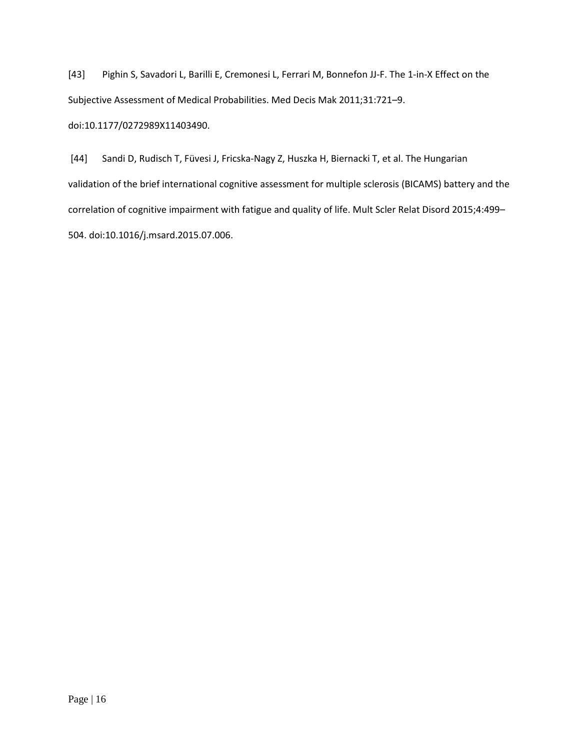[43] Pighin S, Savadori L, Barilli E, Cremonesi L, Ferrari M, Bonnefon JJ-F. The 1-in-X Effect on the Subjective Assessment of Medical Probabilities. Med Decis Mak 2011;31:721–9. doi:10.1177/0272989X11403490.

[44] Sandi D, Rudisch T, Füvesi J, Fricska-Nagy Z, Huszka H, Biernacki T, et al. The Hungarian validation of the brief international cognitive assessment for multiple sclerosis (BICAMS) battery and the correlation of cognitive impairment with fatigue and quality of life. Mult Scler Relat Disord 2015;4:499– 504. doi:10.1016/j.msard.2015.07.006.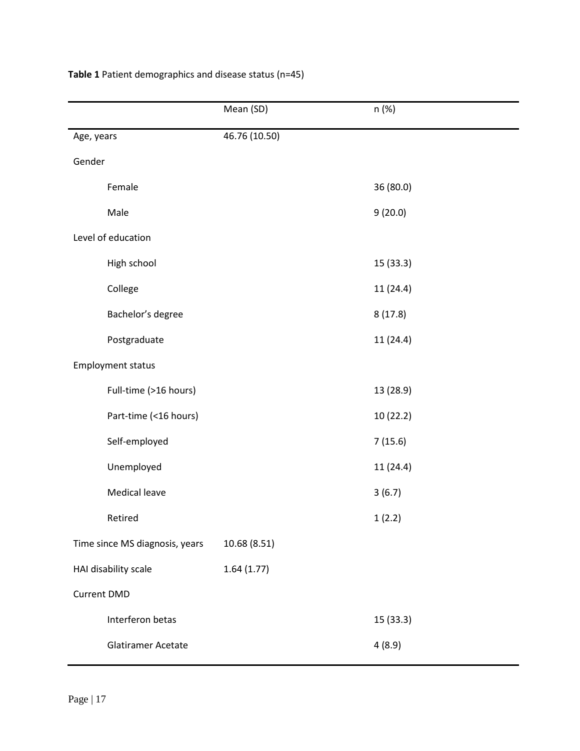|                                | Mean (SD)     | n (%)     |  |  |
|--------------------------------|---------------|-----------|--|--|
| Age, years                     | 46.76 (10.50) |           |  |  |
| Gender                         |               |           |  |  |
| Female                         |               | 36 (80.0) |  |  |
| Male                           |               | 9(20.0)   |  |  |
| Level of education             |               |           |  |  |
| High school                    |               | 15 (33.3) |  |  |
| College                        |               | 11 (24.4) |  |  |
| Bachelor's degree              |               | 8(17.8)   |  |  |
| Postgraduate                   |               | 11 (24.4) |  |  |
| <b>Employment status</b>       |               |           |  |  |
| Full-time (>16 hours)          |               | 13 (28.9) |  |  |
| Part-time (<16 hours)          |               | 10 (22.2) |  |  |
| Self-employed                  |               | 7(15.6)   |  |  |
| Unemployed                     |               | 11 (24.4) |  |  |
| <b>Medical leave</b>           |               | 3(6.7)    |  |  |
| Retired                        |               | 1(2.2)    |  |  |
| Time since MS diagnosis, years | 10.68 (8.51)  |           |  |  |
| HAI disability scale           | 1.64(1.77)    |           |  |  |
| <b>Current DMD</b>             |               |           |  |  |
| Interferon betas               |               | 15 (33.3) |  |  |
| Glatiramer Acetate             |               | 4(8.9)    |  |  |

# **Table 1** Patient demographics and disease status (n=45)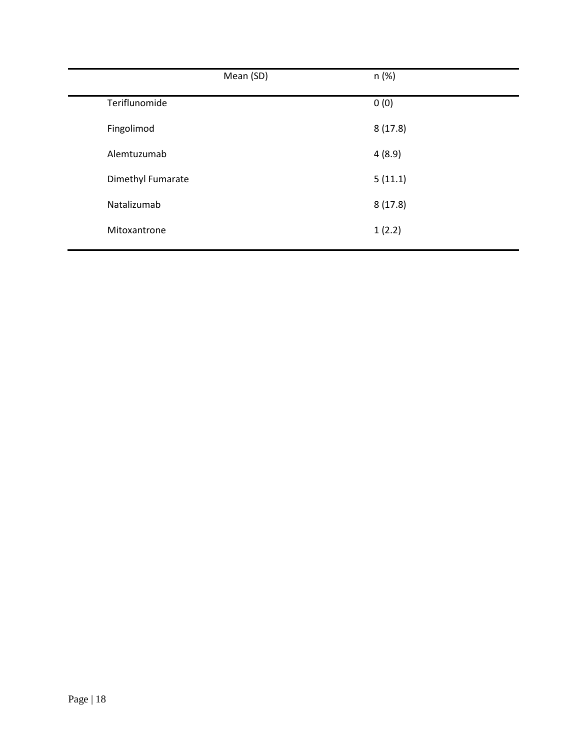|                   | Mean (SD) | n (%)   |
|-------------------|-----------|---------|
| Teriflunomide     |           | 0(0)    |
| Fingolimod        |           | 8(17.8) |
| Alemtuzumab       |           | 4(8.9)  |
| Dimethyl Fumarate |           | 5(11.1) |
| Natalizumab       |           | 8(17.8) |
| Mitoxantrone      |           | 1(2.2)  |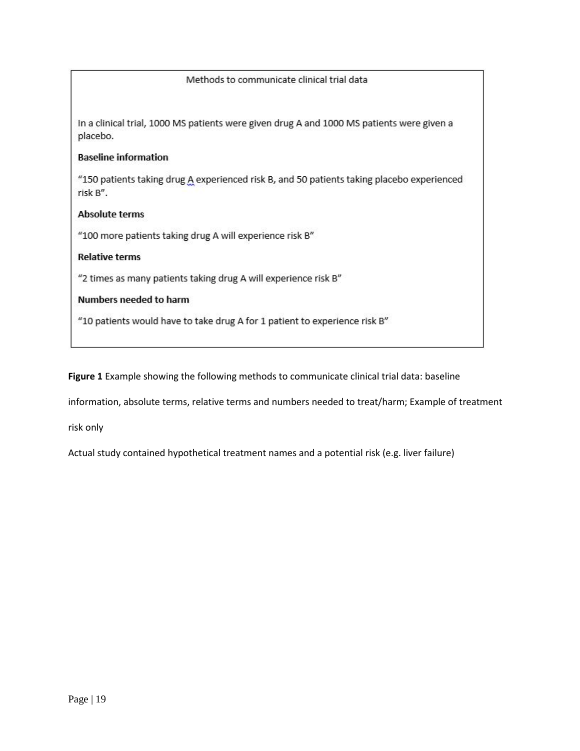# Methods to communicate clinical trial data

In a clinical trial, 1000 MS patients were given drug A and 1000 MS patients were given a placebo.

# **Baseline information**

"150 patients taking drug A experienced risk B, and 50 patients taking placebo experienced risk B".

## **Absolute terms**

"100 more patients taking drug A will experience risk B"

# **Relative terms**

"2 times as many patients taking drug A will experience risk B"

# Numbers needed to harm

"10 patients would have to take drug A for 1 patient to experience risk B"

**Figure 1** Example showing the following methods to communicate clinical trial data: baseline

information, absolute terms, relative terms and numbers needed to treat/harm; Example of treatment

risk only

Actual study contained hypothetical treatment names and a potential risk (e.g. liver failure)